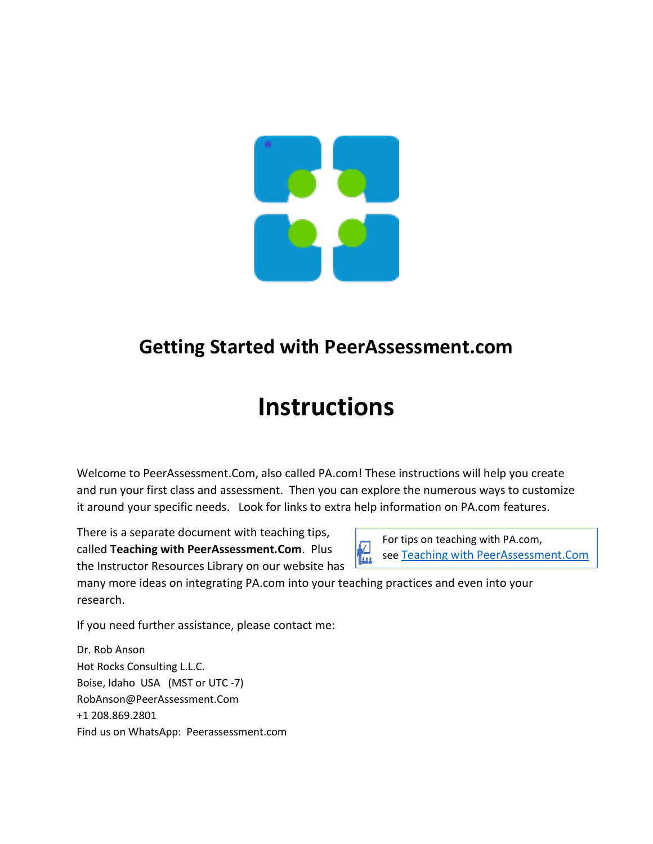

## **Getting Started with PeerAssessment.com**

# **Instructions**

Welcome to PeerAssessment.Com, also called PA.com! These instructions will help you create and run your first class and assessment. Then you can explore the numerous ways to customize it around your specific needs. Look for links to extra help information on PA.com features.

There is a separate document with teaching tips, called **Teaching with PeerAssessment.Com**. Plus the Instructor Resources Library on our website has

 $\frac{f(x)}{f(x)}$  see [Teaching with PeerAssessment.Com](https://peerassessment.com/wp-content/uploads/2022/01/Teaching-with-PeerAssessment-1.pdf) **For tips on teaching with PA.com,**<br>see **Teaching with PeerAssessm** 

many more ideas on integrating PA.com into your teaching practices and even into your research.

If you need further assistance, please contact me:

Dr. Rob Anson Hot Rocks Consulting L.L.C. Boise, Idaho USA (MST or UTC -7) RobAnson@PeerAssessment.Com +1 208.869.2801 Find us on WhatsApp: Peerassessment.com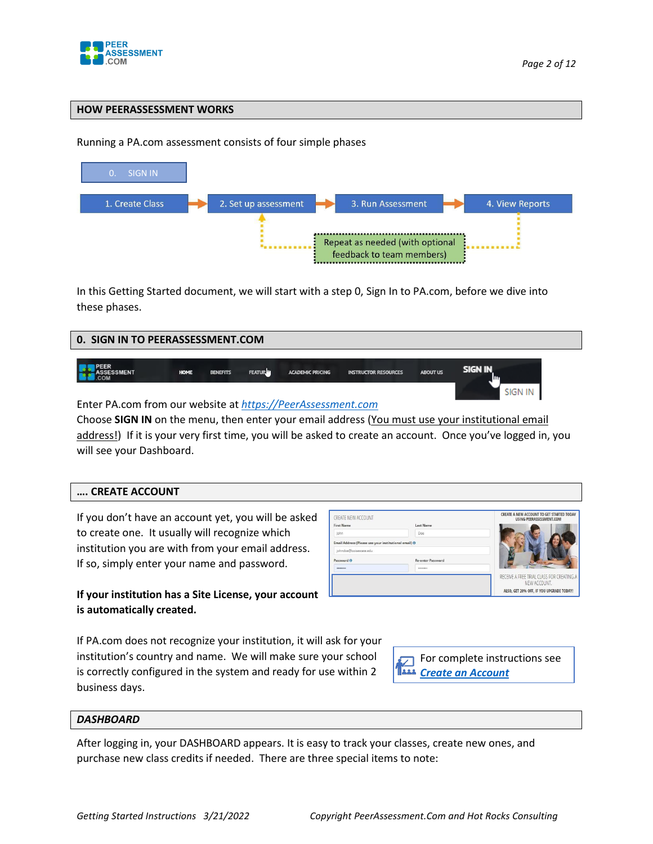

#### **HOW PEERASSESSMENT WORKS**

#### Running a PA.com assessment consists of four simple phases



In this Getting Started document, we will start with a step 0, Sign In to PA.com, before we dive into these phases.

| 0. SIGN IN TO PEERASSESSMENT.COM |             |                 |               |                                                                                                                                                                                                                                                                                                             |                             |                 |             |  |
|----------------------------------|-------------|-----------------|---------------|-------------------------------------------------------------------------------------------------------------------------------------------------------------------------------------------------------------------------------------------------------------------------------------------------------------|-----------------------------|-----------------|-------------|--|
| <b>SSESSMENT</b>                 | <b>HOME</b> | <b>BENEFITS</b> | <b>FEATUR</b> | <b>ACADEMIC PRICING</b>                                                                                                                                                                                                                                                                                     | <b>INSTRUCTOR RESOURCES</b> | <b>ABOUT US</b> | SIGN IN     |  |
| $\sim$ $\sim$<br>$ -$            |             |                 |               | $\mathbf{1}$ , $\mathbf{1}$ , $\mathbf{1}$ , $\mathbf{1}$ , $\mathbf{1}$ , $\mathbf{1}$ , $\mathbf{1}$ , $\mathbf{1}$ , $\mathbf{1}$ , $\mathbf{1}$ , $\mathbf{1}$ , $\mathbf{1}$ , $\mathbf{1}$ , $\mathbf{1}$ , $\mathbf{1}$ , $\mathbf{1}$ , $\mathbf{1}$ , $\mathbf{1}$ , $\mathbf{1}$ , $\mathbf{1}$ , |                             |                 | <b>SIGN</b> |  |

Enter PA.com from our website at *[https://PeerAssessment.com](https://peerassessment.com/)*

Choose **SIGN IN** on the menu, then enter your email address (You must use your institutional email address!) If it is your very first time, you will be asked to create an account. Once you've logged in, you will see your Dashboard.

| CREATE ACCOUNT |  |
|----------------|--|
|----------------|--|

If you don't have an account yet, you will be asked to create one. It usually will recognize which institution you are with from your email address. If so, simply enter your name and password.

**If your institution has a Site License, your account is automatically created.**

If PA.com does not recognize your institution, it will ask for your institution's country and name. We will make sure your school is correctly configured in the system and ready for use within 2 business days.





#### *DASHBOARD*

After logging in, your DASHBOARD appears. It is easy to track your classes, create new ones, and purchase new class credits if needed. There are three special items to note: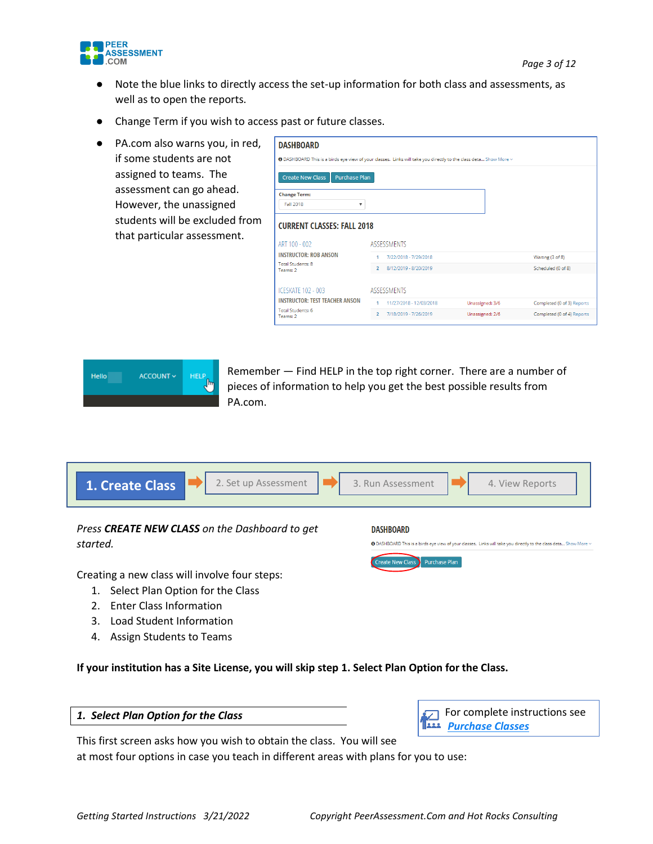

- Note the blue links to directly access the set-up information for both class and assessments, as well as to open the reports.
- Change Term if you wish to access past or future classes.
- PA.com also warns you, in red, if some students are not assigned to teams. The assessment can go ahead. However, the unassigned students will be excluded from that particular assessment.

| <b>DASHBOARD</b>                                                                                                 |                |                         |                 |                            |
|------------------------------------------------------------------------------------------------------------------|----------------|-------------------------|-----------------|----------------------------|
| ● DASHBOARD This is a birds eye view of your classes. Links will take you directly to the class deta Show More v |                |                         |                 |                            |
| <b>Create New Class</b><br><b>Purchase Plan</b>                                                                  |                |                         |                 |                            |
| <b>Change Term:</b><br>Fall 2018<br>▼                                                                            |                |                         |                 |                            |
| <b>CURRENT CLASSES: FALL 2018</b>                                                                                |                |                         |                 |                            |
| ART 100 - 002                                                                                                    |                | <b>ASSESSMENTS</b>      |                 |                            |
| <b>INSTRUCTOR: ROB ANSON</b>                                                                                     | 1              | 7/22/2018 - 7/29/2018   |                 | Waiting (3 of 8)           |
| <b>Total Students: 8</b><br>Teams: 2                                                                             | $\overline{2}$ | 8/12/2019 - 8/20/2019   |                 | Scheduled (0 of 8)         |
| <b>ICESKATE 102 - 003</b>                                                                                        |                | <b>ASSESSMENTS</b>      |                 |                            |
| <b>INSTRUCTOR: TEST TEACHER ANSON</b>                                                                            | 1              | 11/27/2018 - 12/03/2018 | Unassigned: 3/6 | Completed (0 of 3) Reports |
| <b>Total Students: 6</b><br>Teams: 2                                                                             | $\overline{2}$ | 7/18/2019 - 7/26/2019   | Unassigned: 2/6 | Completed (0 of 4) Reports |



Remember — Find HELP in the top right corner. There are a number of pieces of information to help you get the best possible results from PA.com.

| 2. Set up Assessment<br>1. Create Class                    | 3. Run Assessment<br>4. View Reports                                                                                                      |
|------------------------------------------------------------|-------------------------------------------------------------------------------------------------------------------------------------------|
| Press CREATE NEW CLASS on the Dashboard to get<br>started. | <b>DASHBOARD</b><br>● DASHBOARD This is a birds eye view of your classes. Links will take you directly to the class deta Show More $\vee$ |
| Creating a new class will involve four steps:              | <b>Purchase Plan</b><br>reate New Class                                                                                                   |
| Select Plan Option for the Class<br>1.                     |                                                                                                                                           |
| <b>Enter Class Information</b>                             |                                                                                                                                           |

- 3. Load Student Information
- 4. Assign Students to Teams

**If your institution has a Site License, you will skip step 1. Select Plan Option for the Class.**

#### *1. Select Plan Option for the Class*



This first screen asks how you wish to obtain the class. You will see at most four options in case you teach in different areas with plans for you to use: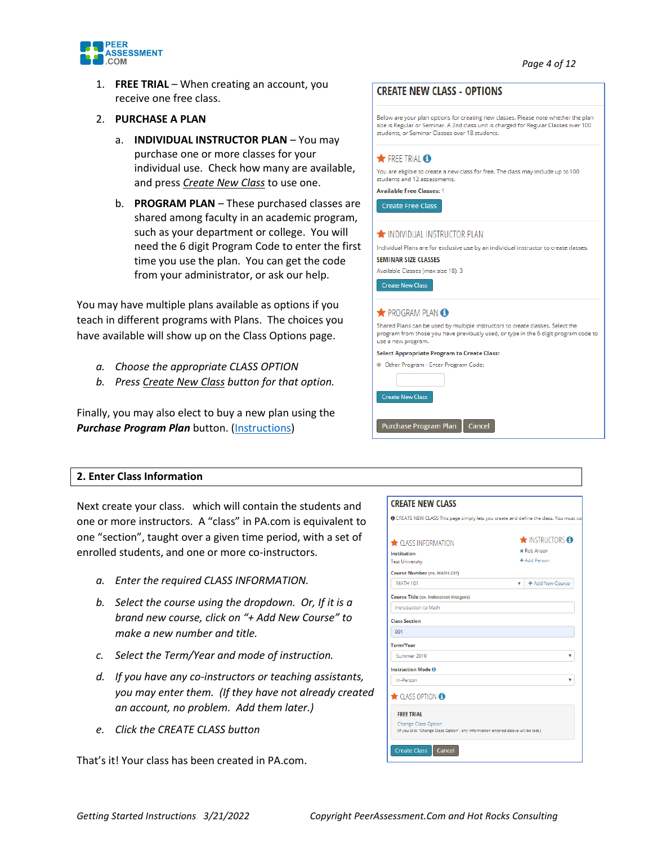

1. **FREE TRIAL** – When creating an account, you receive one free class.

#### 2. **PURCHASE A PLAN**

- a. **INDIVIDUAL INSTRUCTOR PLAN** You may purchase one or more classes for your individual use. Check how many are available, and press *Create New Class* to use one.
- b. **PROGRAM PLAN** These purchased classes are shared among faculty in an academic program, such as your department or college. You will need the 6 digit Program Code to enter the first time you use the plan. You can get the code from your administrator, or ask our help.

You may have multiple plans available as options if you teach in different programs with Plans. The choices you have available will show up on the Class Options page.

- *a. Choose the appropriate CLASS OPTION*
- *b. Press Create New Class button for that option.*

Finally, you may also elect to buy a new plan using the *Purchase Program Plan* button. [\(Instructions\)](https://peerassessment.com/wp-content/uploads/2022/01/Class-Purchasing-Instructions-for-PeerAssessment.pdf)

## **CREATE NEW CLASS - OPTIONS**

Below are your plan options for creating new classes. Please note whether the plan size is Regular or Seminar. A 2nd class unit is charged for Regular Classes over 100 students, or Seminar Classes over 18 students.

*Page 4 of 12*

#### **A** FREE TRIAL **O**

You are eligible to create a new class for free. The class may include up to 100 students and 12 assessments. **Available Free Classes: 1** 

Create Free Class

#### NOIVIDUAL INSTRUCTOR PLAN

Individual Plans are for exclusive use by an individual instructor to create classes. **SEMINAR SIZE CLASSES** 

Available Classes (max size 18): 3

Create New Class

#### ROGRAM PLAN<sup>6</sup>

Shared Plans can be used by multiple instructors to create classes. Select the program from those you have previously used, or type in the 6 digit program code to use a new program.

**Select Appropriate Program to Create Class:** © Other Program - Enter Program Code:

Purchase Program Plan | Cancel

Create New Class

#### **2. Enter Class Information**

Next create your class. which will contain the students and one or more instructors. A "class" in PA.com is equivalent to one "section", taught over a given time period, with a set of enrolled students, and one or more co-instructors.

- *a. Enter the required CLASS INFORMATION.*
- *b. Select the course using the dropdown. Or, If it is a brand new course, click on "+ Add New Course" to make a new number and title.*
- *c. Select the Term/Year and mode of instruction.*
- *d. If you have any co-instructors or teaching assistants, you may enter them. (If they have not already created an account, no problem. Add them later.)*
- *e. Click the CREATE CLASS button*

That's it! Your class has been created in PA.com.

#### **CREATE NEW CLASS**

| <b>CLASS INFORMATION</b><br><b>MATH 101</b>                                          | <b>NISTRUCTORS</b><br><b>x</b> Rob Anson<br>+ Add Person<br>+ Add New Course<br>v |
|--------------------------------------------------------------------------------------|-----------------------------------------------------------------------------------|
| Institution                                                                          |                                                                                   |
| <b>Test University</b>                                                               |                                                                                   |
| <b>Course Number (ex. MATH 237)</b><br><b>Course Title (ex. Indescreet Integers)</b> |                                                                                   |
|                                                                                      |                                                                                   |
|                                                                                      |                                                                                   |
|                                                                                      |                                                                                   |
| Introduction to Math                                                                 |                                                                                   |
| <b>Class Section</b>                                                                 |                                                                                   |
| 001                                                                                  |                                                                                   |
| Term/Year                                                                            |                                                                                   |
| Summer 2019                                                                          | ▼                                                                                 |
| <b>Instruction Mode O</b>                                                            |                                                                                   |
| In-Person                                                                            | v                                                                                 |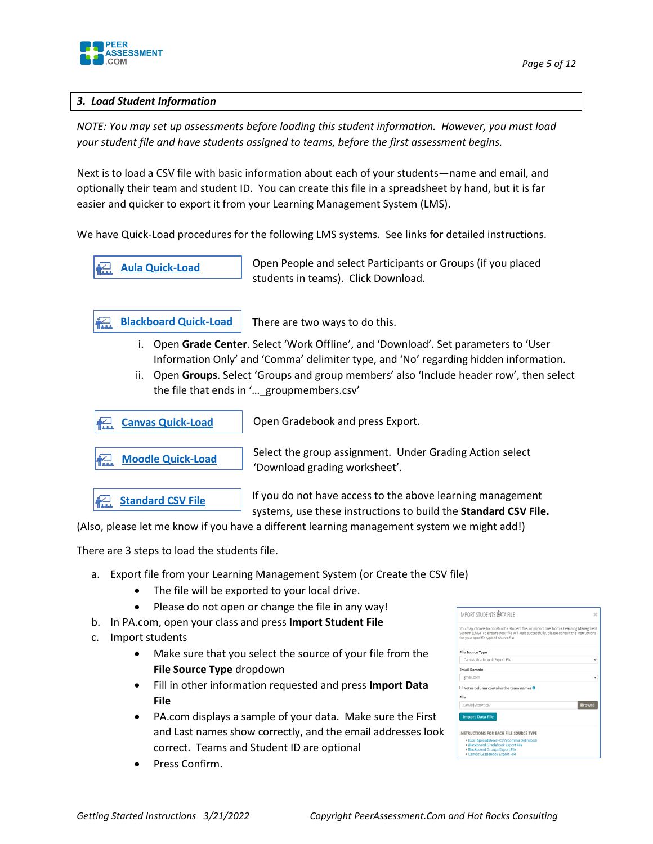

#### *3. Load Student Information*

*NOTE: You may set up assessments before loading this student information. However, you must load your student file and have students assigned to teams, before the first assessment begins.* 

Next is to load a CSV file with basic information about each of your students—name and email, and optionally their team and student ID. You can create this file in a spreadsheet by hand, but it is far easier and quicker to export it from your Learning Management System (LMS).

We have Quick-Load procedures for the following LMS systems. See links for detailed instructions.

**[Aula Quick-Load](https://peerassessment.com/wp-content/uploads/2021/12/Quick-Load-from-Aula-People-Export.pdf)**

Open People and select Participants or Groups (if you placed students in teams). Click Download.

There are two ways to do this. **[Blackboard Quick-Load](https://peerassessment.com/wp-content/uploads/2022/03/Quick-Load-from-Blackboard.pdf)**

- i. Open **Grade Center**. Select 'Work Offline', and 'Download'. Set parameters to 'User Information Only' and 'Comma' delimiter type, and 'No' regarding hidden information.
- ii. Open **Groups**. Select 'Groups and group members' also 'Include header row', then select the file that ends in '…\_groupmembers.csv'



(Also, please let me know if you have a different learning management system we might add!)

There are 3 steps to load the students file.

- a. Export file from your Learning Management System (or Create the CSV file)
	- The file will be exported to your local drive.
	- Please do not open or change the file in any way!
- b. In PA.com, open your class and press **Import Student File**
- c. Import students
	- Make sure that you select the source of your file from the **File Source Type** dropdown
	- Fill in other information requested and press **Import Data File**
	- PA.com displays a sample of your data. Make sure the First and Last names show correctly, and the email addresses look correct. Teams and Student ID are optional
- IMPORT STUDENTS BATA FILE File Source Type ok Export File .<br>Email Domain  $\exists$  Notes column contains the team names  $\overline{\textbf{0}}$ CanvagExport.cs Browse Import Data File INSTRUCTIONS FOR EACH FILE SOURCE TYPE

Press Confirm.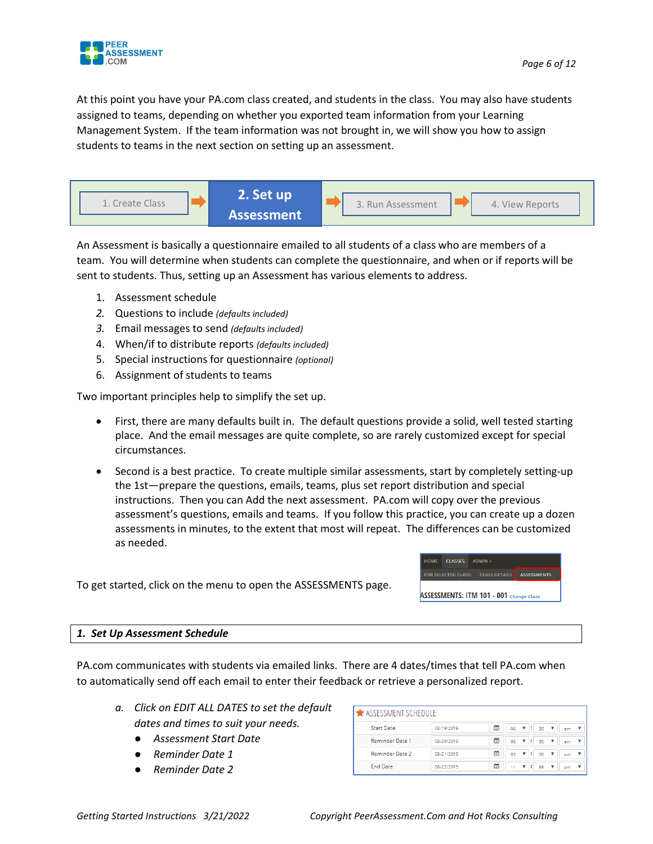

At this point you have your PA.com class created, and students in the class. You may also have students assigned to teams, depending on whether you exported team information from your Learning Management System. If the team information was not brought in, we will show you how to assign students to teams in the next section on setting up an assessment.



An Assessment is basically a questionnaire emailed to all students of a class who are members of a team. You will determine when students can complete the questionnaire, and when or if reports will be sent to students. Thus, setting up an Assessment has various elements to address.

- 1. Assessment schedule
- *2.* Questions to include *(defaults included)*
- *3.* Email messages to send *(defaults included)*
- 4. When/if to distribute reports *(defaults included)*
- 5. Special instructions for questionnaire *(optional)*
- 6. Assignment of students to teams

Two important principles help to simplify the set up.

- First, there are many defaults built in. The default questions provide a solid, well tested starting place. And the email messages are quite complete, so are rarely customized except for special circumstances.
- Second is a best practice. To create multiple similar assessments, start by completely setting-up the 1st—prepare the questions, emails, teams, plus set report distribution and special instructions. Then you can Add the next assessment. PA.com will copy over the previous assessment's questions, emails and teams. If you follow this practice, you can create up a dozen assessments in minutes, to the extent that most will repeat. The differences can be customized as needed.

To get started, click on the menu to open the ASSESSMENTS page.

### HOME CLASSES ADMIN FOR SELECTED CLASS: CLASS DETAILS **ASSESSMENTS**

**ASSESSMENTS: ITM 101 - 001 Change Class** 

#### *1. Set Up Assessment Schedule*

PA.com communicates with students via emailed links. There are 4 dates/times that tell PA.com when to automatically send off each email to enter their feedback or retrieve a personalized report.

- *a. Click on EDIT ALL DATES to set the default dates and times to suit your needs.* 
	- *Assessment Start Date*
	- *Reminder Date 1*
	- *Reminder Date 2*

| SSESSMENT SCHEDULE     |            |   |                   |                                    |    |  |  |
|------------------------|------------|---|-------------------|------------------------------------|----|--|--|
| <b>Start Date</b>      | 08/19/2019 | 鱛 | $06 \quad \nabla$ | ÷<br>30                            | am |  |  |
| <b>Reminder Date 1</b> | 08/20/2019 | 鱛 | 06                | ÷<br>30<br>$\overline{\mathbf{v}}$ | am |  |  |
| Reminder Date 2        | 08/21/2019 | 鱛 | 05                | ÷<br>▼<br>00                       | pm |  |  |
| <b>End Date</b>        | 08/22/2019 | 鱛 | 11                | ÷<br>55<br>▼                       | pm |  |  |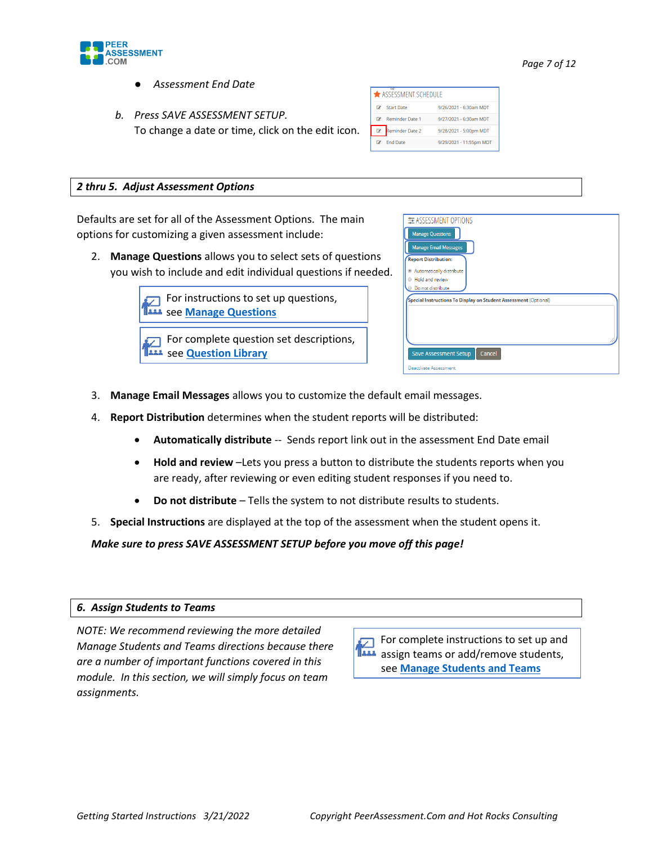

- *Assessment End Date*
- *b. Press SAVE ASSESSMENT SETUP.* To change a date or time, click on the edit icon.

|   | ASSESSMENT SCHEDULE    |                         |
|---|------------------------|-------------------------|
| œ | <b>Start Date</b>      | 9/26/2021 - 6:30am MDT  |
|   | <b>Reminder Date 1</b> | 9/27/2021 - 6:30am MDT  |
|   | Reminder Date 2        | 9/28/2021 - 5:00pm MDT  |
|   | <b>End Date</b>        | 9/29/2021 - 11:55pm MDT |

#### *2 thru 5. Adjust Assessment Options*

Defaults are set for all of the Assessment Options. The main options for customizing a given assessment include:

2. **Manage Questions** allows you to select sets of questions you wish to include and edit individual questions if needed.

| For instructions to set up questions,<br><sup>1222</sup> see Manage Questions |
|-------------------------------------------------------------------------------|

For complete question set descriptions, see **[Question Library](https://peerassessment.com/question-library/)**

| <b>Manage Questions</b><br><b>Manage Email Messages</b>          |  |  |  |
|------------------------------------------------------------------|--|--|--|
| <b>Report Distribution:</b>                                      |  |  |  |
| Automatically distribute                                         |  |  |  |
| <b>E</b> Hold and review                                         |  |  |  |
| Do not distribute                                                |  |  |  |
| Special Instructions To Display on Student Assessment (Optional) |  |  |  |
|                                                                  |  |  |  |
|                                                                  |  |  |  |
|                                                                  |  |  |  |
|                                                                  |  |  |  |
|                                                                  |  |  |  |

- 3. **Manage Email Messages** allows you to customize the default email messages.
- 4. **Report Distribution** determines when the student reports will be distributed:
	- **Automatically distribute** -- Sends report link out in the assessment End Date email
	- **Hold and review** –Lets you press a button to distribute the students reports when you are ready, after reviewing or even editing student responses if you need to.
	- **Do not distribute** Tells the system to not distribute results to students.
- 5. **Special Instructions** are displayed at the top of the assessment when the student opens it.

*Make sure to press SAVE ASSESSMENT SETUP before you move off this page!*

#### *6. Assign Students to Teams*

*NOTE: We recommend reviewing the more detailed Manage Students and Teams directions because there are a number of important functions covered in this module. In this section, we will simply focus on team assignments.*

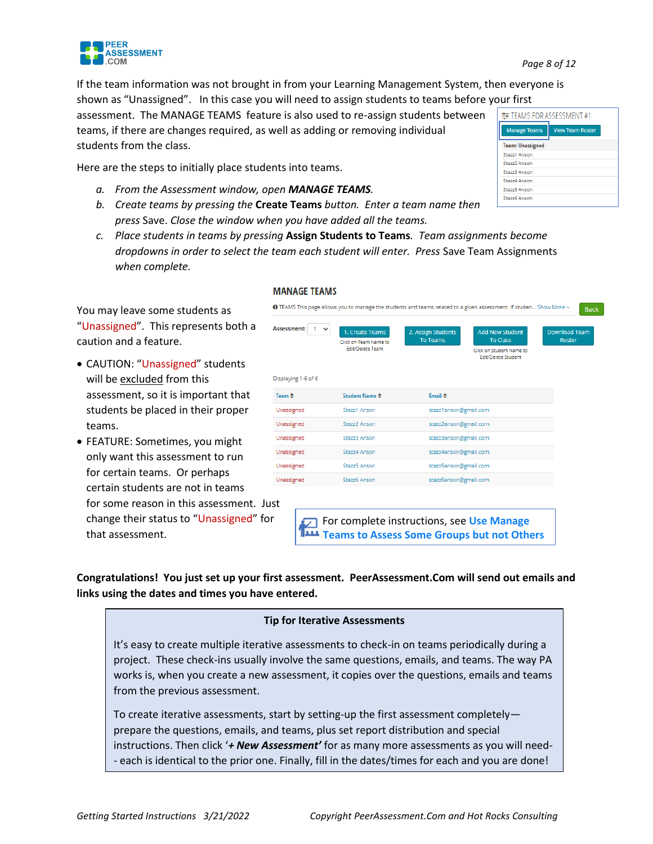

主 TEAMS FOR ASSESSMENT #1

Manage Teams **Team: Unassigned** Stazz1 Ansor Stazz2 Ansor Stazz3 Anson Stazz4 Anson Stazz5 Anson Stazz6 Anson

View Team Roster

If the team information was not brought in from your Learning Management System, then everyone is shown as "Unassigned". In this case you will need to assign students to teams before your first

assessment. The MANAGE TEAMS feature is also used to re-assign students between teams, if there are changes required, as well as adding or removing individual students from the class.

Here are the steps to initially place students into teams.

- *a. From the Assessment window, open MANAGE TEAMS.*
- *b. Create teams by pressing the* **Create Teams** *button. Enter a team name then press* Save. *Close the window when you have added all the teams.*
- *c. Place students in teams by pressing* **Assign Students to Teams***. Team assignments become dropdowns in order to select the team each student will enter. Press* Save Team Assignments *when complete.*

You may leave some students as "Unassigned". This represents both a caution and a feature.

**PEER ASSESSMENT** .COM

- CAUTION: "Unassigned" students will be excluded from this assessment, so it is important that students be placed in their proper teams.
- FEATURE: Sometimes, you might only want this assessment to run for certain teams. Or perhaps certain students are not in teams

for some reason in this assessment. Just change their status to "Unassigned" for that assessment.

#### **MANAGE TEAMS**



For complete instructions, see **[Use Manage](https://peerassessment.com/wp-content/uploads/2019/04/Use-Manage-Teams-to-Assess-Some-Groups-but-not-Others.pdf)  [Teams to Assess Some Groups but not Others](https://peerassessment.com/wp-content/uploads/2019/04/Use-Manage-Teams-to-Assess-Some-Groups-but-not-Others.pdf)**

**Congratulations! You just set up your first assessment. PeerAssessment.Com will send out emails and links using the dates and times you have entered.**

#### **Tip for Iterative Assessments**

It's easy to create multiple iterative assessments to check-in on teams periodically during a project. These check-ins usually involve the same questions, emails, and teams. The way PA works is, when you create a new assessment, it copies over the questions, emails and teams from the previous assessment.

To create iterative assessments, start by setting-up the first assessment completely prepare the questions, emails, and teams, plus set report distribution and special instructions. Then click '*+ New Assessment'* for as many more assessments as you will need- - each is identical to the prior one. Finally, fill in the dates/times for each and you are done!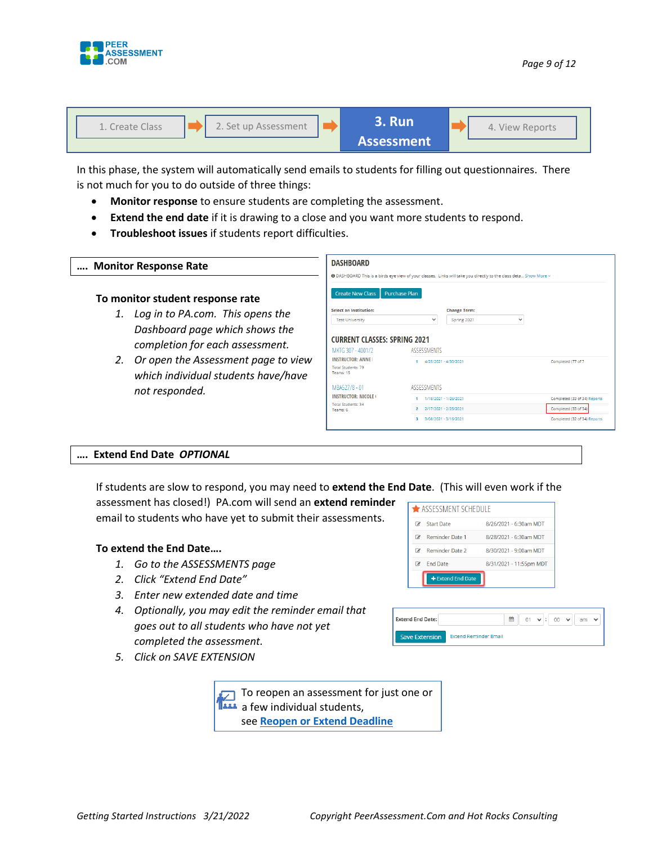



In this phase, the system will automatically send emails to students for filling out questionnaires. There is not much for you to do outside of three things:

- **Monitor response** to ensure students are completing the assessment.
- **Extend the end date** if it is drawing to a close and you want more students to respond.
- **Troubleshoot issues** if students report difficulties.

| Monitor Response Rate                                                                                    | <b>DASHBOARD</b><br>● DASHBOARD This is a birds eye view of your classes. Links will take you directly to the class deta Show More ~ |                                                                                               |                                                                                      |  |  |  |  |
|----------------------------------------------------------------------------------------------------------|--------------------------------------------------------------------------------------------------------------------------------------|-----------------------------------------------------------------------------------------------|--------------------------------------------------------------------------------------|--|--|--|--|
| To monitor student response rate<br>Log in to PA.com. This opens the                                     | <b>Create New Class</b><br><b>Select an Institution:</b><br><b>Test University</b>                                                   | <b>Purchase Plan</b><br><b>Change Term:</b><br>$\checkmark$<br>Spring 2021                    | $\checkmark$                                                                         |  |  |  |  |
| Dashboard page which shows the<br>completion for each assessment.<br>Or open the Assessment page to view | MKTG 307 - 4001/2<br><b>INSTRUCTOR: ANNE</b><br>Total Students: 79<br>Teams: 15                                                      | <b>CURRENT CLASSES: SPRING 2021</b><br><b>ASSESSMENTS</b><br>4/25/2021 - 4/30/2021            |                                                                                      |  |  |  |  |
| which individual students have/have<br>not responded.                                                    | MBA527/8 - 01<br><b>INSTRUCTOR: NICOLE</b><br><b>Total Students: 34</b><br>Teams: 6                                                  | <b>ASSESSMENTS</b><br>1/18/2021 - 1/26/2021<br>2/17/2021 - 2/25/2021<br>3/08/2021 - 3/16/2021 | Completed (33 of 34) Reports<br>Completed (33 of 34)<br>Completed (32 of 34) Reports |  |  |  |  |

#### **…. Extend End Date** *OPTIONAL*

If students are slow to respond, you may need to **extend the End Date**. (This will even work if the assessment has closed!) PA.com will send an **extend reminder** 

email to students who have yet to submit their assessments.

#### **To extend the End Date….**

- *1. Go to the ASSESSMENTS page*
- *2. Click "Extend End Date"*
- *3. Enter new extended date and time*
- *4. Optionally, you may edit the reminder email that goes out to all students who have not yet completed the assessment.*

| ASSESSMENT SCHEDULE |                   |                         |  |  |  |  |  |
|---------------------|-------------------|-------------------------|--|--|--|--|--|
| œ                   | <b>Start Date</b> | 8/26/2021 - 6:30am MDT  |  |  |  |  |  |
| œ                   | Reminder Date 1   | 8/28/2021 - 6:30am MDT  |  |  |  |  |  |
|                     | Reminder Date 2   | 8/30/2021 - 9:00am MDT  |  |  |  |  |  |
| œ                   | <b>End Date</b>   | 8/31/2021 - 11:55pm MDT |  |  |  |  |  |
|                     | + Extend End Date |                         |  |  |  |  |  |

| <b>Extend End Date:</b> |                              | 鱛 | $01 \times 1$ |  | $00 \times$ | am | $\checkmark$ |  |
|-------------------------|------------------------------|---|---------------|--|-------------|----|--------------|--|
| <b>Save Extension</b>   | <b>Extend Reminder Email</b> |   |               |  |             |    |              |  |

*5. Click on SAVE EXTENSION*

 $\sqrt{ }$  To reopen an assessment for just one or a few individual students, see **[Reopen or Extend Deadline](https://peerassessment.com/wp-content/uploads/2020/01/Reopen-or-Extend-Deadline-for-an-Assessment-12-31-2019.pdf)**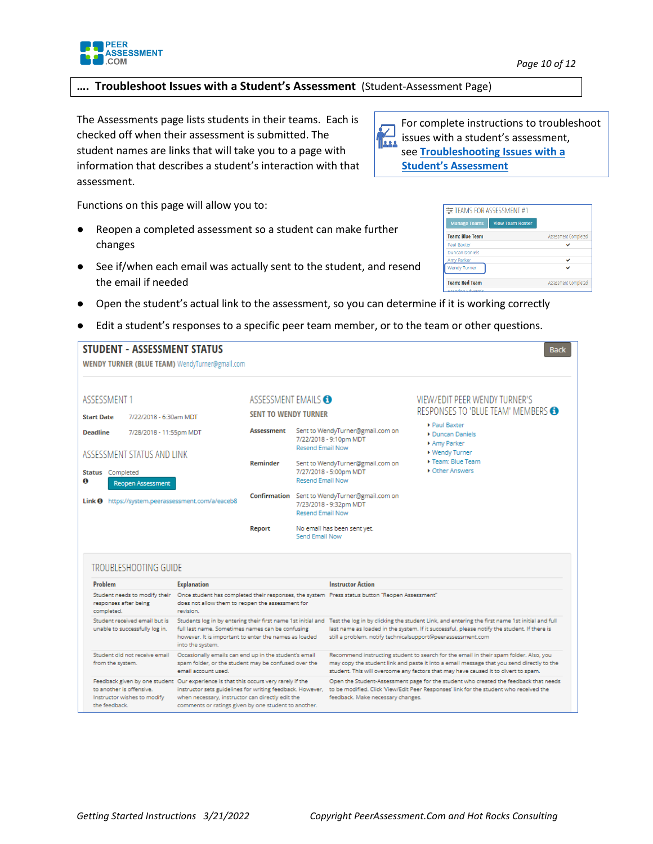

## **…. Troubleshoot Issues with a Student's Assessment** (Student-Assessment Page)

The Assessments page lists students in their teams. Each is checked off when their assessment is submitted. The student names are links that will take you to a page with information that describes a student's interaction with that assessment.

Functions on this page will allow you to:

**STUDENT - ASSESSMENT STATUS** 

- Reopen a completed assessment so a student can make further changes
- See if/when each email was actually sent to the student, and resend the email if needed
- Open the student's actual link to the assessment, so you can determine if it is working correctly
- Edit a student's responses to a specific peer team member, or to the team or other questions.

| ASSESSMENT 1<br><b>Start Date</b><br>7/22/2018 - 6:30am MDT              |                                                                                                                                      | ASSESSMENT EMAILS<br><b>SENT TO WENDY TURNER</b>              |                                                                                                    |                                                                                                | VIEW/EDIT PEER WENDY TURNER'S                                                                                                                                                                                                                                                                                             |  |  |
|--------------------------------------------------------------------------|--------------------------------------------------------------------------------------------------------------------------------------|---------------------------------------------------------------|----------------------------------------------------------------------------------------------------|------------------------------------------------------------------------------------------------|---------------------------------------------------------------------------------------------------------------------------------------------------------------------------------------------------------------------------------------------------------------------------------------------------------------------------|--|--|
|                                                                          |                                                                                                                                      |                                                               |                                                                                                    |                                                                                                | RESPONSES TO 'BLUE TEAM' MEMBERS<br>Paul Baxter<br>Duncan Daniels<br>Amy Parker<br>▶ Wendy Turner                                                                                                                                                                                                                         |  |  |
| <b>Deadline</b><br>7/28/2018 - 11:55pm MDT<br>ASSESSMENT STATUS AND LINK | <b>Assessment</b>                                                                                                                    |                                                               | Sent to WendyTurner@gmail.com on<br>7/22/2018 - 9:10pm MDT<br><b>Resend Email Now</b>              |                                                                                                |                                                                                                                                                                                                                                                                                                                           |  |  |
| <b>Status</b> Completed<br><b>Reopen Assessment</b>                      |                                                                                                                                      | Reminder<br>7/27/2018 - 5:00pm MDT<br><b>Resend Email Now</b> |                                                                                                    | Sent to WendyTurner@gmail.com on                                                               | Team: Blue Team<br><b>C</b> ther Answers                                                                                                                                                                                                                                                                                  |  |  |
| Link O https://system.peerassessment.com/a/eaceb8                        |                                                                                                                                      |                                                               | Confirmation Sent to WendyTurner@gmail.com on<br>7/23/2018 - 9:32pm MDT<br><b>Resend Email Now</b> |                                                                                                |                                                                                                                                                                                                                                                                                                                           |  |  |
|                                                                          |                                                                                                                                      | No email has been sent yet.<br>Report<br>Send Email Now       |                                                                                                    |                                                                                                |                                                                                                                                                                                                                                                                                                                           |  |  |
|                                                                          |                                                                                                                                      |                                                               |                                                                                                    |                                                                                                |                                                                                                                                                                                                                                                                                                                           |  |  |
|                                                                          |                                                                                                                                      |                                                               |                                                                                                    |                                                                                                |                                                                                                                                                                                                                                                                                                                           |  |  |
| <b>TROUBLESHOOTING GUIDE</b><br>Problem                                  | <b>Explanation</b>                                                                                                                   |                                                               |                                                                                                    | <b>Instructor Action</b>                                                                       |                                                                                                                                                                                                                                                                                                                           |  |  |
| Student needs to modify their<br>responses after being<br>completed.     | does not allow them to reopen the assessment for<br>revision.                                                                        |                                                               |                                                                                                    | Once student has completed their responses, the system Press status button "Reopen Assessment" |                                                                                                                                                                                                                                                                                                                           |  |  |
| Student received email but is<br>unable to successfully log in.          | full last name. Sometimes names can be confusing<br>however. It is important to enter the names as loaded<br>into the system.        |                                                               |                                                                                                    |                                                                                                | Students log in by entering their first name 1st initial and Test the log in by clicking the student Link, and entering the first name 1st initial and full<br>last name as loaded in the system. If it successful, please notify the student. If there is<br>still a problem, notify technicalsupport@peerassessment.com |  |  |
| Student did not receive email<br>from the system.                        | Occasionally emails can end up in the student's email<br>spam folder, or the student may be confused over the<br>email account used. |                                                               |                                                                                                    |                                                                                                | Recommend instructing student to search for the email in their spam folder. Also, you<br>may copy the student link and paste it into a email message that you send directly to the<br>student. This will overcome any factors that may have caused it to divert to spam.                                                  |  |  |

| 丰 TEAMS FOR ASSESSMENT #1 |                         |                      |
|---------------------------|-------------------------|----------------------|
| <b>Manage Teams</b>       | <b>View Team Roster</b> |                      |
| <b>Team: Blue Team</b>    |                         | Assessment Completed |
| <b>Paul Baxter</b>        |                         |                      |
| <b>Duncan Daniels</b>     |                         |                      |
| Amy Parker                |                         |                      |
| <b>Wendy Turner</b>       |                         |                      |
| <b>Team: Red Team</b>     |                         | Assessment Completed |
| Dennedom Educação         |                         |                      |

**Back** 

 $\mathbf{F}_{\bullet\bullet}$  issues with a student's assessment, For complete instructions to troubleshoot<br>issues with a student's assessment, see **[Troubleshooting Issues with a](https://peerassessment.com/wp-content/uploads/2021/03/Student-Assessment-Status-Page-Instructions-7.pdf)** 

**[Student's Assessment](https://peerassessment.com/wp-content/uploads/2021/03/Student-Assessment-Status-Page-Instructions-7.pdf)**

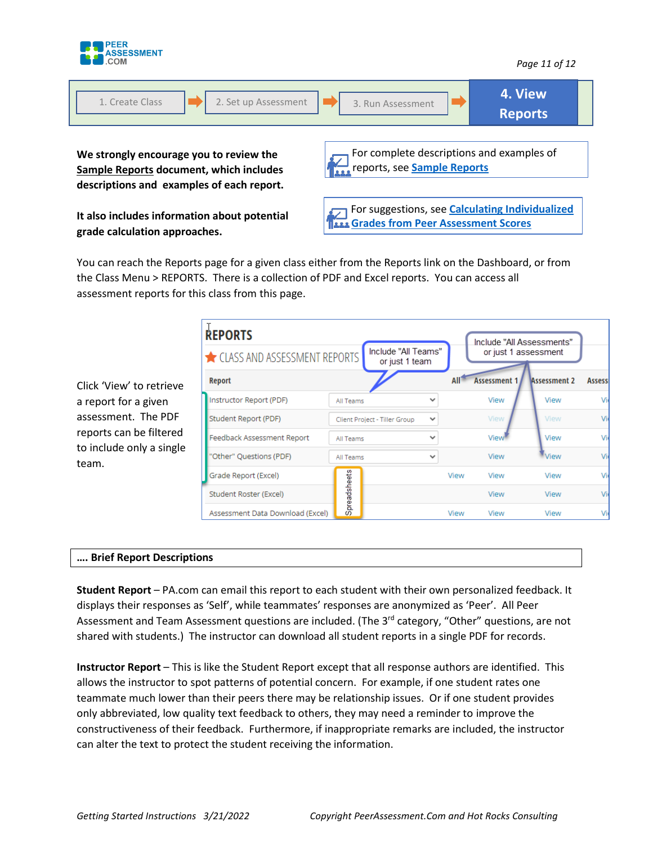

| 2. Set up Assessment<br>1. Create Class                                                                                         | 3. Run Assessment                                                               | 4. View<br><b>Reports</b> |
|---------------------------------------------------------------------------------------------------------------------------------|---------------------------------------------------------------------------------|---------------------------|
| We strongly encourage you to review the<br>Sample Reports document, which includes<br>descriptions and examples of each report. | For complete descriptions and examples of<br>reports, see <b>Sample Reports</b> |                           |

**It also includes information about potential grade calculation approaches.** 

For suggestions, see **Calculating Individualized [Grades from Peer Assessment Scores](https://peerassessment.com/wp-content/uploads/2022/01/Calculating-Individualized-Grades-From-Peer-Assessment-Scores.pdf)**

You can reach the Reports page for a given class either from the Reports link on the Dashboard, or from the Class Menu > REPORTS. There is a collection of PDF and Excel reports. You can access all assessment reports for this class from this page.

| <b>REPORTS</b>                         | Include "All Teams" |                               |              |      | Include "All Assessments"<br>or just 1 assessment |                     |                 |
|----------------------------------------|---------------------|-------------------------------|--------------|------|---------------------------------------------------|---------------------|-----------------|
| CLASS AND ASSESSMENT REPORTS<br>Report |                     | or just 1 team                |              |      | <b>Assessment 1</b>                               | <b>Assessment 2</b> | <b>Assessi</b>  |
| Instructor Report (PDF)                | All Teams           |                               | $\check{ }$  |      | View                                              | View                | Vie             |
| Student Report (PDF)                   |                     | Client Project - Tiller Group | $\checkmark$ |      | View                                              | View                | Vie             |
| Feedback Assessment Report             | All Teams           |                               | $\checkmark$ |      | View                                              | View                | Vie             |
| "Other" Questions (PDF)                | All Teams           |                               | $\check{ }$  |      | View                                              | View                | Vie             |
| Grade Report (Excel)                   |                     |                               |              | View | View                                              | View                | Vie             |
| Student Roster (Excel)                 | Spreadsheets        |                               |              |      | View                                              | View                | Vie             |
| Assessment Data Download (Excel)       |                     |                               |              | View | View                                              | View                | Vi <sub>6</sub> |

#### **…. Brief Report Descriptions**

Click 'View' to retrieve a report for a given assessment. The PDF reports can be filtered to include only a single

team.

**Student Report** – PA.com can email this report to each student with their own personalized feedback. It displays their responses as 'Self', while teammates' responses are anonymized as 'Peer'. All Peer Assessment and Team Assessment questions are included. (The 3<sup>rd</sup> category, "Other" questions, are not shared with students.) The instructor can download all student reports in a single PDF for records.

**Instructor Report** – This is like the Student Report except that all response authors are identified. This allows the instructor to spot patterns of potential concern. For example, if one student rates one teammate much lower than their peers there may be relationship issues. Or if one student provides only abbreviated, low quality text feedback to others, they may need a reminder to improve the constructiveness of their feedback. Furthermore, if inappropriate remarks are included, the instructor can alter the text to protect the student receiving the information.